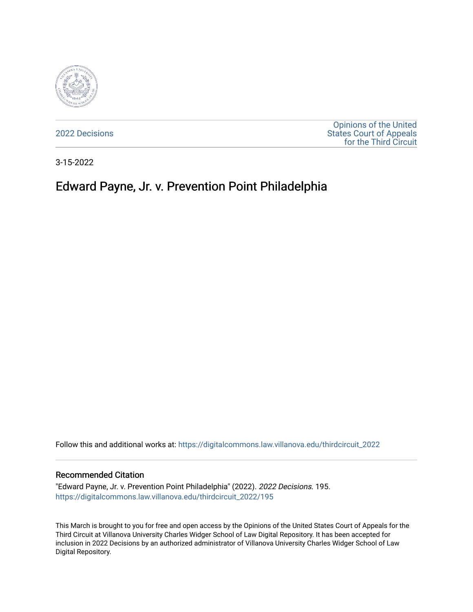

[2022 Decisions](https://digitalcommons.law.villanova.edu/thirdcircuit_2022)

[Opinions of the United](https://digitalcommons.law.villanova.edu/thirdcircuit)  [States Court of Appeals](https://digitalcommons.law.villanova.edu/thirdcircuit)  [for the Third Circuit](https://digitalcommons.law.villanova.edu/thirdcircuit) 

3-15-2022

# Edward Payne, Jr. v. Prevention Point Philadelphia

Follow this and additional works at: [https://digitalcommons.law.villanova.edu/thirdcircuit\\_2022](https://digitalcommons.law.villanova.edu/thirdcircuit_2022?utm_source=digitalcommons.law.villanova.edu%2Fthirdcircuit_2022%2F195&utm_medium=PDF&utm_campaign=PDFCoverPages) 

#### Recommended Citation

"Edward Payne, Jr. v. Prevention Point Philadelphia" (2022). 2022 Decisions. 195. [https://digitalcommons.law.villanova.edu/thirdcircuit\\_2022/195](https://digitalcommons.law.villanova.edu/thirdcircuit_2022/195?utm_source=digitalcommons.law.villanova.edu%2Fthirdcircuit_2022%2F195&utm_medium=PDF&utm_campaign=PDFCoverPages)

This March is brought to you for free and open access by the Opinions of the United States Court of Appeals for the Third Circuit at Villanova University Charles Widger School of Law Digital Repository. It has been accepted for inclusion in 2022 Decisions by an authorized administrator of Villanova University Charles Widger School of Law Digital Repository.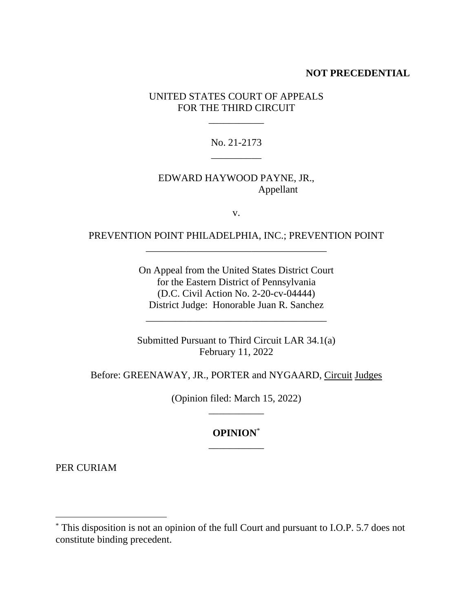## **NOT PRECEDENTIAL**

UNITED STATES COURT OF APPEALS FOR THE THIRD CIRCUIT

\_\_\_\_\_\_\_\_\_\_\_

No. 21-2173 \_\_\_\_\_\_\_\_\_\_

# EDWARD HAYWOOD PAYNE, JR., Appellant

v.

# PREVENTION POINT PHILADELPHIA, INC.; PREVENTION POINT \_\_\_\_\_\_\_\_\_\_\_\_\_\_\_\_\_\_\_\_\_\_\_\_\_\_\_\_\_\_\_\_\_\_\_\_

On Appeal from the United States District Court for the Eastern District of Pennsylvania (D.C. Civil Action No. 2-20-cv-04444) District Judge: Honorable Juan R. Sanchez

\_\_\_\_\_\_\_\_\_\_\_\_\_\_\_\_\_\_\_\_\_\_\_\_\_\_\_\_\_\_\_\_\_\_\_\_

Submitted Pursuant to Third Circuit LAR 34.1(a) February 11, 2022

Before: GREENAWAY, JR., PORTER and NYGAARD, Circuit Judges

(Opinion filed: March 15, 2022) \_\_\_\_\_\_\_\_\_\_\_

# **OPINION**\* \_\_\_\_\_\_\_\_\_\_\_

PER CURIAM

<sup>\*</sup> This disposition is not an opinion of the full Court and pursuant to I.O.P. 5.7 does not constitute binding precedent.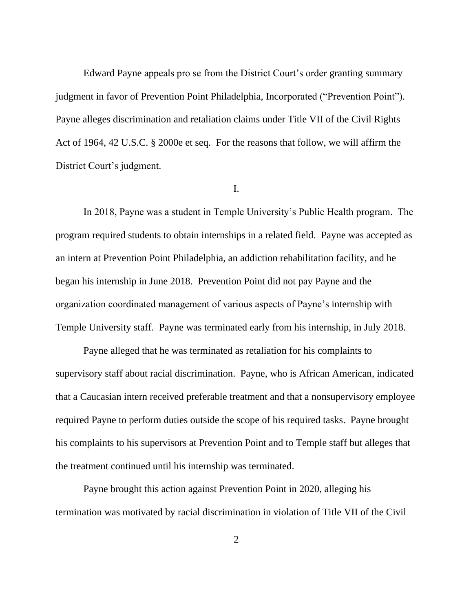Edward Payne appeals pro se from the District Court's order granting summary judgment in favor of Prevention Point Philadelphia, Incorporated ("Prevention Point"). Payne alleges discrimination and retaliation claims under Title VII of the Civil Rights Act of 1964, 42 U.S.C. § 2000e et seq. For the reasons that follow, we will affirm the District Court's judgment.

#### I.

In 2018, Payne was a student in Temple University's Public Health program. The program required students to obtain internships in a related field. Payne was accepted as an intern at Prevention Point Philadelphia, an addiction rehabilitation facility, and he began his internship in June 2018. Prevention Point did not pay Payne and the organization coordinated management of various aspects of Payne's internship with Temple University staff. Payne was terminated early from his internship, in July 2018.

Payne alleged that he was terminated as retaliation for his complaints to supervisory staff about racial discrimination. Payne, who is African American, indicated that a Caucasian intern received preferable treatment and that a nonsupervisory employee required Payne to perform duties outside the scope of his required tasks. Payne brought his complaints to his supervisors at Prevention Point and to Temple staff but alleges that the treatment continued until his internship was terminated.

Payne brought this action against Prevention Point in 2020, alleging his termination was motivated by racial discrimination in violation of Title VII of the Civil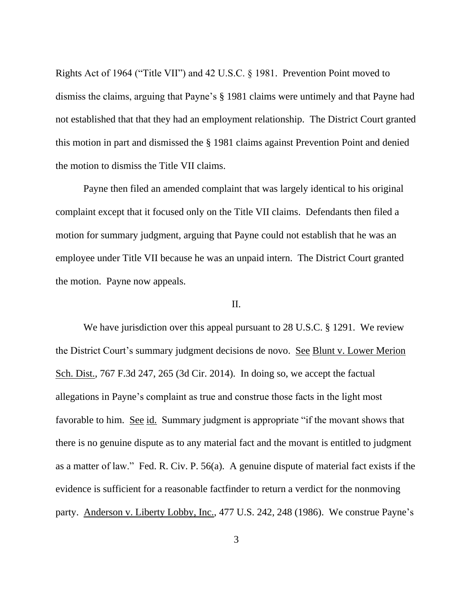Rights Act of 1964 ("Title VII") and 42 U.S.C. § 1981. Prevention Point moved to dismiss the claims, arguing that Payne's § 1981 claims were untimely and that Payne had not established that that they had an employment relationship. The District Court granted this motion in part and dismissed the § 1981 claims against Prevention Point and denied the motion to dismiss the Title VII claims.

Payne then filed an amended complaint that was largely identical to his original complaint except that it focused only on the Title VII claims. Defendants then filed a motion for summary judgment, arguing that Payne could not establish that he was an employee under Title VII because he was an unpaid intern. The District Court granted the motion. Payne now appeals.

#### II.

We have jurisdiction over this appeal pursuant to 28 U.S.C. § 1291. We review the District Court's summary judgment decisions de novo. See Blunt v. Lower Merion Sch. Dist., 767 F.3d 247, 265 (3d Cir. 2014). In doing so, we accept the factual allegations in Payne's complaint as true and construe those facts in the light most favorable to him. See id. Summary judgment is appropriate "if the movant shows that there is no genuine dispute as to any material fact and the movant is entitled to judgment as a matter of law." Fed. R. Civ. P. 56(a). A genuine dispute of material fact exists if the evidence is sufficient for a reasonable factfinder to return a verdict for the nonmoving party. Anderson v. Liberty Lobby, Inc., 477 U.S. 242, 248 (1986). We construe Payne's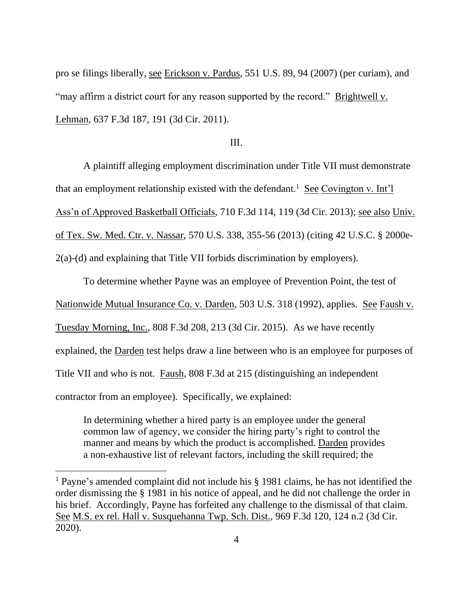pro se filings liberally, see Erickson v. Pardus, 551 U.S. 89, 94 (2007) (per curiam), and "may affirm a district court for any reason supported by the record." Brightwell v. Lehman, 637 F.3d 187, 191 (3d Cir. 2011).

## III.

A plaintiff alleging employment discrimination under Title VII must demonstrate that an employment relationship existed with the defendant.<sup>1</sup> See Covington v. Int'l Ass'n of Approved Basketball Officials, 710 F.3d 114, 119 (3d Cir. 2013); see also Univ. of Tex. Sw. Med. Ctr. v. Nassar, 570 U.S. 338, 355-56 (2013) (citing 42 U.S.C. § 2000e-2(a)-(d) and explaining that Title VII forbids discrimination by employers).

To determine whether Payne was an employee of Prevention Point, the test of Nationwide Mutual Insurance Co. v. Darden, 503 U.S. 318 (1992), applies. See Faush v. Tuesday Morning, Inc., 808 F.3d 208, 213 (3d Cir. 2015). As we have recently explained, the Darden test helps draw a line between who is an employee for purposes of Title VII and who is not. Faush, 808 F.3d at 215 (distinguishing an independent contractor from an employee). Specifically, we explained:

In determining whether a hired party is an employee under the general common law of agency, we consider the hiring party's right to control the manner and means by which the product is accomplished. Darden provides a non-exhaustive list of relevant factors, including the skill required; the

<sup>1</sup> Payne's amended complaint did not include his § 1981 claims, he has not identified the order dismissing the § 1981 in his notice of appeal, and he did not challenge the order in his brief. Accordingly, Payne has forfeited any challenge to the dismissal of that claim. See M.S. ex rel. Hall v. Susquehanna Twp. Sch. Dist., 969 F.3d 120, 124 n.2 (3d Cir. 2020).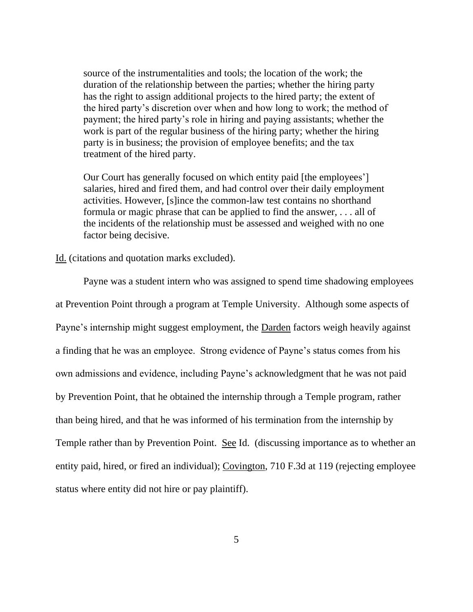source of the instrumentalities and tools; the location of the work; the duration of the relationship between the parties; whether the hiring party has the right to assign additional projects to the hired party; the extent of the hired party's discretion over when and how long to work; the method of payment; the hired party's role in hiring and paying assistants; whether the work is part of the regular business of the hiring party; whether the hiring party is in business; the provision of employee benefits; and the tax treatment of the hired party.

Our Court has generally focused on which entity paid [the employees'] salaries, hired and fired them, and had control over their daily employment activities. However, [s]ince the common-law test contains no shorthand formula or magic phrase that can be applied to find the answer, . . . all of the incidents of the relationship must be assessed and weighed with no one factor being decisive.

Id. (citations and quotation marks excluded).

Payne was a student intern who was assigned to spend time shadowing employees at Prevention Point through a program at Temple University. Although some aspects of Payne's internship might suggest employment, the Darden factors weigh heavily against a finding that he was an employee. Strong evidence of Payne's status comes from his own admissions and evidence, including Payne's acknowledgment that he was not paid by Prevention Point, that he obtained the internship through a Temple program, rather than being hired, and that he was informed of his termination from the internship by Temple rather than by Prevention Point. See Id. (discussing importance as to whether an entity paid, hired, or fired an individual); Covington, 710 F.3d at 119 (rejecting employee status where entity did not hire or pay plaintiff).